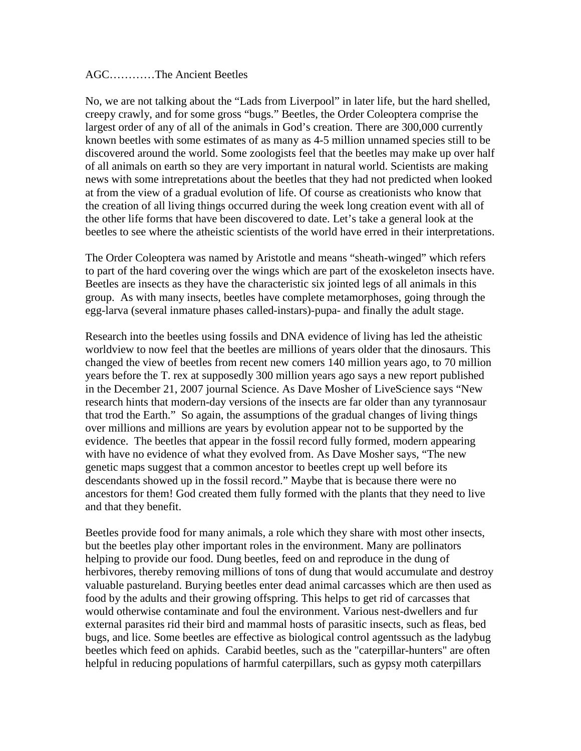## AGC…………The Ancient Beetles

No, we are not talking about the "Lads from Liverpool" in later life, but the hard shelled, creepy crawly, and for some gross "bugs." Beetles, the Order Coleoptera comprise the largest order of any of all of the animals in God's creation. There are 300,000 currently known beetles with some estimates of as many as 4-5 million unnamed species still to be discovered around the world. Some zoologists feel that the beetles may make up over half of all animals on earth so they are very important in natural world. Scientists are making news with some intrepretations about the beetles that they had not predicted when looked at from the view of a gradual evolution of life. Of course as creationists who know that the creation of all living things occurred during the week long creation event with all of the other life forms that have been discovered to date. Let's take a general look at the beetles to see where the atheistic scientists of the world have erred in their interpretations.

The Order Coleoptera was named by Aristotle and means "sheath-winged" which refers to part of the hard covering over the wings which are part of the exoskeleton insects have. Beetles are insects as they have the characteristic six jointed legs of all animals in this group. As with many insects, beetles have complete metamorphoses, going through the egg-larva (several inmature phases called-instars)-pupa- and finally the adult stage.

Research into the beetles using fossils and DNA evidence of living has led the atheistic worldview to now feel that the beetles are millions of years older that the dinosaurs. This changed the view of beetles from recent new comers 140 million years ago, to 70 million years before the T. rex at supposedly 300 million years ago says a new report published in the December 21, 2007 journal Science. As Dave Mosher of LiveScience says "New research hints that modern-day versions of the insects are far older than any tyrannosaur that trod the Earth." So again, the assumptions of the gradual changes of living things over millions and millions are years by evolution appear not to be supported by the evidence. The beetles that appear in the fossil record fully formed, modern appearing with have no evidence of what they evolved from. As Dave Mosher says, "The new genetic maps suggest that a common ancestor to beetles crept up well before its descendants showed up in the fossil record." Maybe that is because there were no ancestors for them! God created them fully formed with the plants that they need to live and that they benefit.

Beetles provide food for many animals, a role which they share with most other insects, but the beetles play other important roles in the environment. Many are pollinators helping to provide our food. Dung beetles, feed on and reproduce in the dung of herbivores, thereby removing millions of tons of dung that would accumulate and destroy valuable pastureland. Burying beetles enter dead animal carcasses which are then used as food by the adults and their growing offspring. This helps to get rid of carcasses that would otherwise contaminate and foul the environment. Various nest-dwellers and fur external parasites rid their bird and mammal hosts of parasitic insects, such as fleas, bed bugs, and lice. Some beetles are effective as biological control agentssuch as the ladybug beetles which feed on aphids. Carabid beetles, such as the "caterpillar-hunters" are often helpful in reducing populations of harmful caterpillars, such as gypsy moth caterpillars